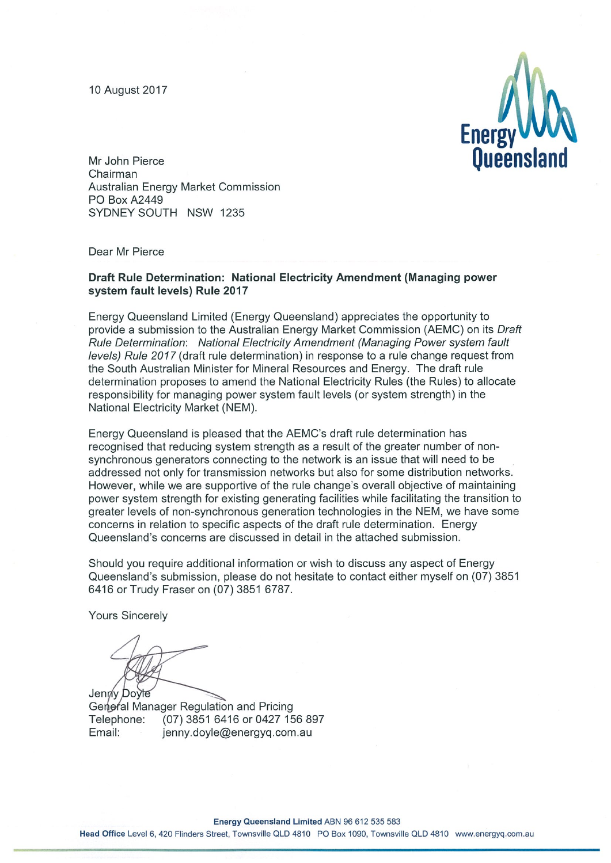10 August 2017



Mr John Pierce Chairman Australian Energy Market Commission PO Box A2449 SYDNEY SOUTH NSW 1235

Dear Mr Pierce

#### Draft Rule Determination: National Electricity Amendment (Managing power system fault levels) Rule 2017

Energy Queensland Limited (Energy Queensland) appreciates the opportunity to provide a submission to the Australian Energy Market Commission (AEMC) on its Draft Rule Determination: National Electricity Amendment (Managing Power system fault levels) Rule 2017 (draft rule determination) in response to a rule change request from the South Australian Minister for Mineral Resources and Energy. The draft rule determination proposes to amend the National Electricity Rules (the Rules) to allocate responsibility for managing power system fault levels (or system strength) in the National Electricity Market (NEM).

Energy Queensland is pleased that the AEMC's draft rule determination has recognised that reducing system strength as a result of the greater number of nonsynchronous generators connecting to the network is an issue that will need to be addressed not only for transmission networks but also for some distribution networks. However, while we are supportive of the rule change's overall objective of maintaining power system strength for existing generating facilities while facilitating the transition to greater levels of non-synchronous generation technologies in the NEM, we have some concerns in relation to specific aspects of the draft rule determination. Energy Queensland's concerns are discussed in detail in the attached submission.

Should you require additional information or wish to discuss any aspect of Energy Queensland's submission, please do not hesitate to contact either myself on (07) 3851 6416 or Trudy Fraser on (07) 3851 6787.

**Yours Sincerely** 

Jenny Doyle

General Manager Regulation and Pricing (07) 3851 6416 or 0427 156 897 Telephone: Email: jenny.doyle@energyq.com.au

Energy Queensland Limited ABN 96 612 535 583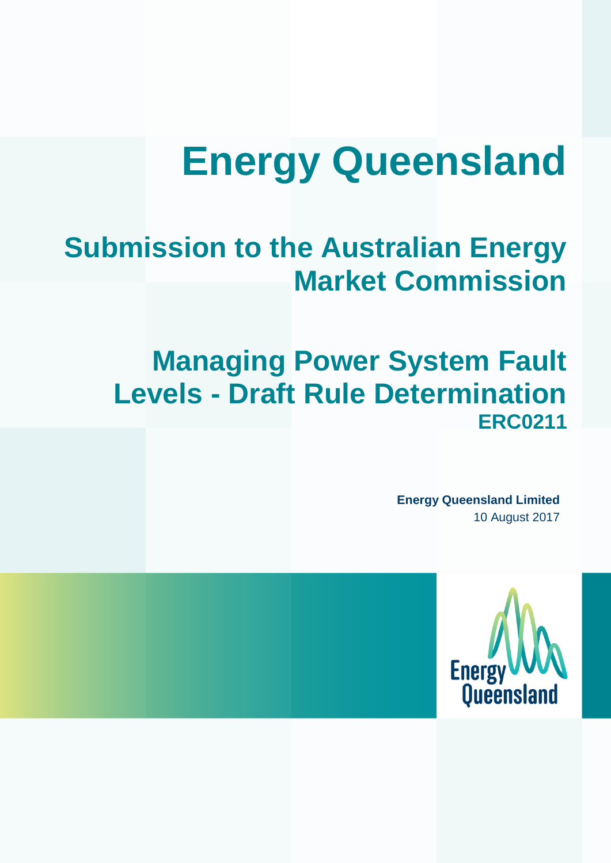# **Energy Queensland**

# **Submission to the Australian Energy Market Commission**

# **Managing Power System Fault Levels - Draft Rule Determination ERC0211**

**Energy Queensland Limited** 10 August 2017

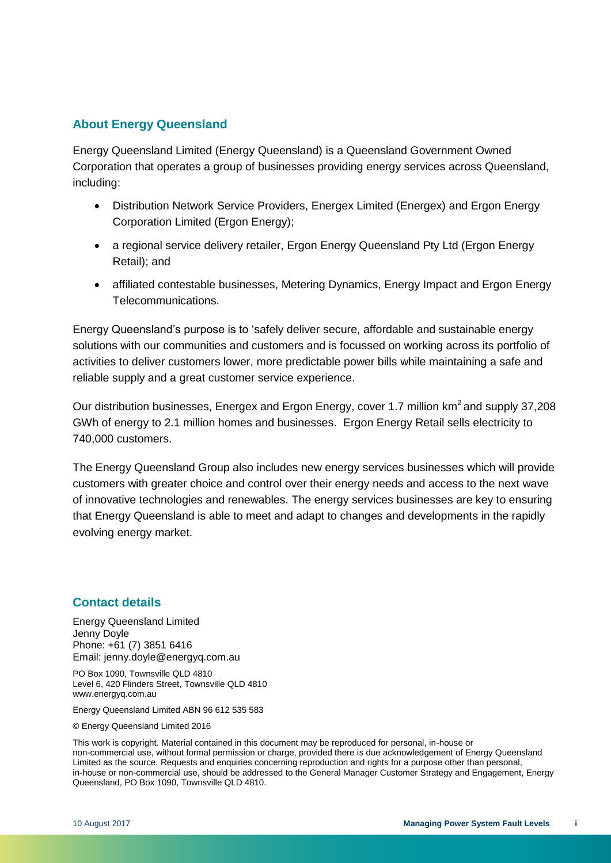#### **About Energy Queensland**

Energy Queensland Limited (Energy Queensland) is a Queensland Government Owned Corporation that operates a group of businesses providing energy services across Queensland, including:

- Distribution Network Service Providers, Energex Limited (Energex) and Ergon Energy Corporation Limited (Ergon Energy);
- a regional service delivery retailer, Ergon Energy Queensland Pty Ltd (Ergon Energy Retail); and
- affiliated contestable businesses, Metering Dynamics, Energy Impact and Ergon Energy Telecommunications.

Energy Queensland's purpose is to 'safely deliver secure, affordable and sustainable energy solutions with our communities and customers and is focussed on working across its portfolio of activities to deliver customers lower, more predictable power bills while maintaining a safe and reliable supply and a great customer service experience.

Our distribution businesses, Energex and Ergon Energy, cover 1.7 million km<sup>2</sup> and supply 37,208 GWh of energy to 2.1 million homes and businesses. Ergon Energy Retail sells electricity to 740,000 customers.

The Energy Queensland Group also includes new energy services businesses which will provide customers with greater choice and control over their energy needs and access to the next wave of innovative technologies and renewables. The energy services businesses are key to ensuring that Energy Queensland is able to meet and adapt to changes and developments in the rapidly evolving energy market.

#### **Contact details**

Energy Queensland Limited Jenny Doyle Phone: +61 (7) 3851 6416 Email: jenny.doyle@energyq.com.au

PO Box 1090, Townsville QLD 4810 Level 6, 420 Flinders Street, Townsville QLD 4810 www.energyq.com.au

Energy Queensland Limited ABN 96 612 535 583

© Energy Queensland Limited 2016

This work is copyright. Material contained in this document may be reproduced for personal, in-house or non-commercial use, without formal permission or charge, provided there is due acknowledgement of Energy Queensland Limited as the source. Requests and enquiries concerning reproduction and rights for a purpose other than personal, in-house or non-commercial use, should be addressed to the General Manager Customer Strategy and Engagement, Energy Queensland, PO Box 1090, Townsville QLD 4810.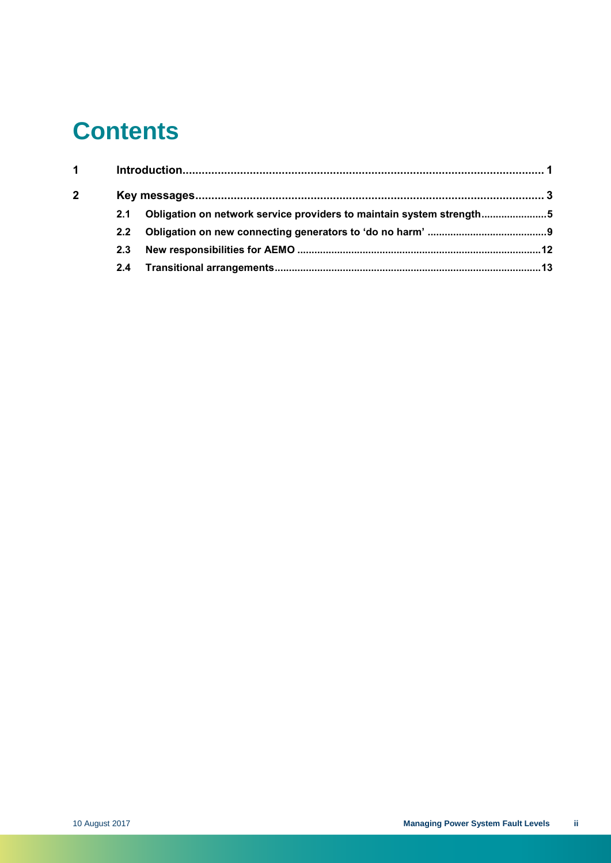# **Contents**

| $\mathbf 1$    |     |                                                                      |  |
|----------------|-----|----------------------------------------------------------------------|--|
| $\overline{2}$ |     |                                                                      |  |
|                | 2.1 | Obligation on network service providers to maintain system strength5 |  |
|                | 2.2 |                                                                      |  |
|                | 2.3 |                                                                      |  |
|                |     |                                                                      |  |
|                |     |                                                                      |  |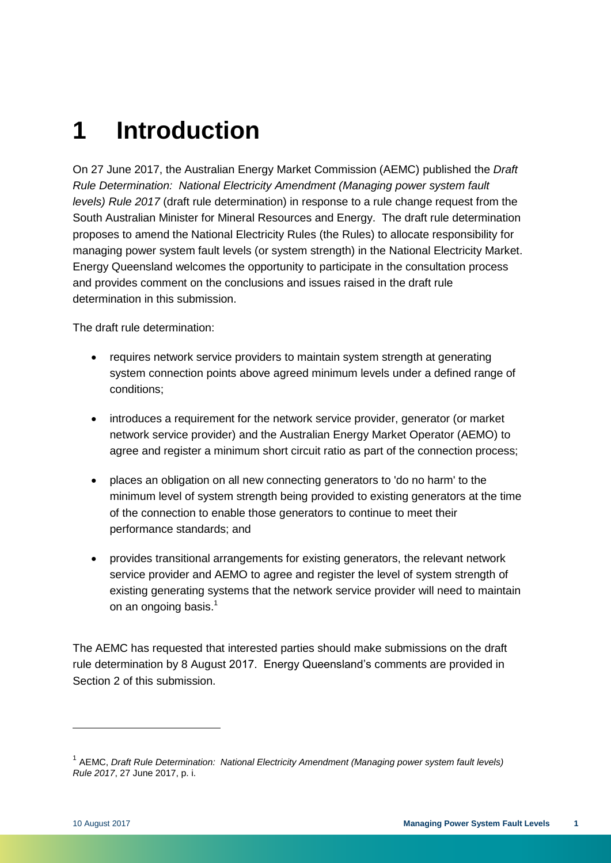# <span id="page-4-0"></span>**1 Introduction**

On 27 June 2017, the Australian Energy Market Commission (AEMC) published the *Draft Rule Determination: National Electricity Amendment (Managing power system fault levels) Rule 2017* (draft rule determination) in response to a rule change request from the South Australian Minister for Mineral Resources and Energy. The draft rule determination proposes to amend the National Electricity Rules (the Rules) to allocate responsibility for managing power system fault levels (or system strength) in the National Electricity Market. Energy Queensland welcomes the opportunity to participate in the consultation process and provides comment on the conclusions and issues raised in the draft rule determination in this submission.

The draft rule determination:

- requires network service providers to maintain system strength at generating system connection points above agreed minimum levels under a defined range of conditions;
- introduces a requirement for the network service provider, generator (or market network service provider) and the Australian Energy Market Operator (AEMO) to agree and register a minimum short circuit ratio as part of the connection process;
- places an obligation on all new connecting generators to 'do no harm' to the minimum level of system strength being provided to existing generators at the time of the connection to enable those generators to continue to meet their performance standards; and
- provides transitional arrangements for existing generators, the relevant network service provider and AEMO to agree and register the level of system strength of existing generating systems that the network service provider will need to maintain on an ongoing basis.<sup>1</sup>

The AEMC has requested that interested parties should make submissions on the draft rule determination by 8 August 2017. Energy Queensland's comments are provided in Section 2 of this submission.

<sup>&</sup>lt;sup>1</sup> AEMC, *Draft Rule Determination: National Electricity Amendment (Managing power system fault levels) Rule 2017*, 27 June 2017, p. i.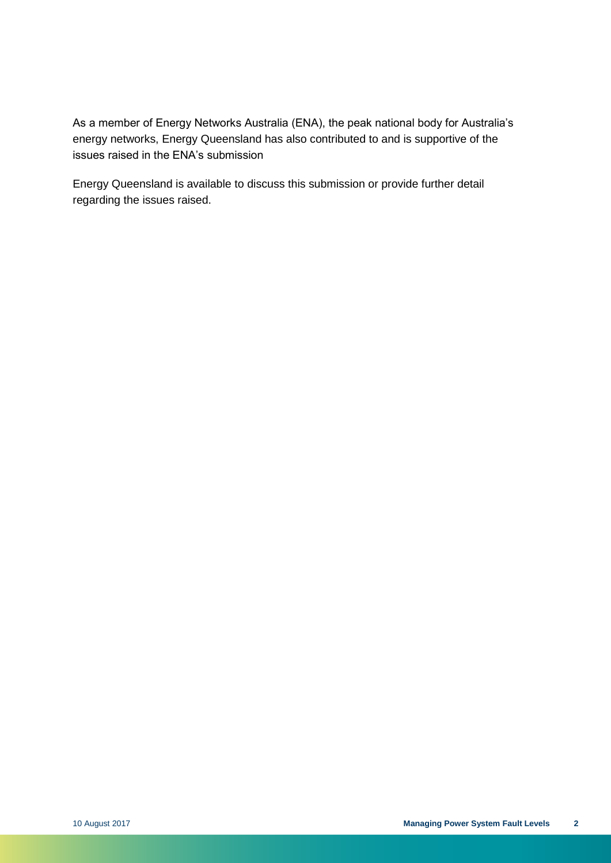As a member of Energy Networks Australia (ENA), the peak national body for Australia's energy networks, Energy Queensland has also contributed to and is supportive of the issues raised in the ENA's submission

Energy Queensland is available to discuss this submission or provide further detail regarding the issues raised.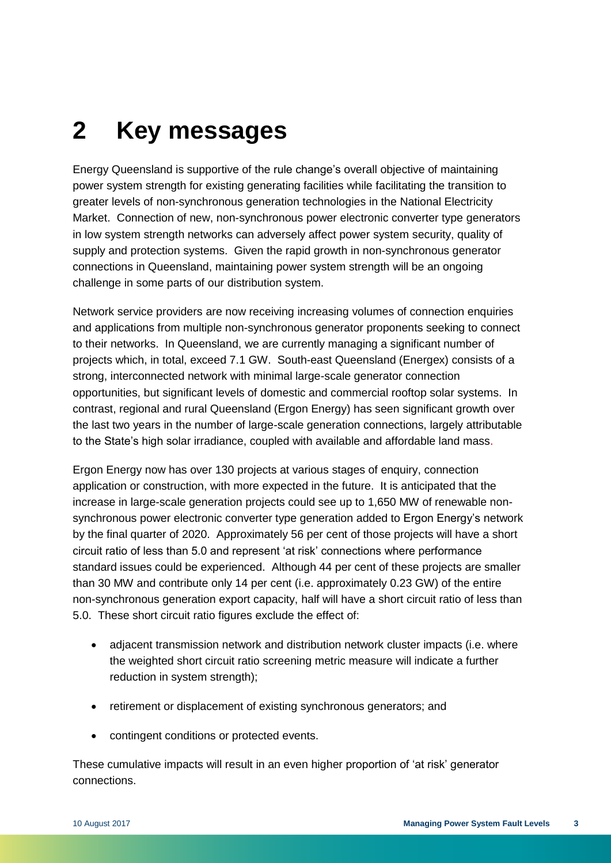# <span id="page-6-0"></span>**2 Key messages**

Energy Queensland is supportive of the rule change's overall objective of maintaining power system strength for existing generating facilities while facilitating the transition to greater levels of non-synchronous generation technologies in the National Electricity Market. Connection of new, non-synchronous power electronic converter type generators in low system strength networks can adversely affect power system security, quality of supply and protection systems. Given the rapid growth in non-synchronous generator connections in Queensland, maintaining power system strength will be an ongoing challenge in some parts of our distribution system.

Network service providers are now receiving increasing volumes of connection enquiries and applications from multiple non-synchronous generator proponents seeking to connect to their networks. In Queensland, we are currently managing a significant number of projects which, in total, exceed 7.1 GW. South-east Queensland (Energex) consists of a strong, interconnected network with minimal large-scale generator connection opportunities, but significant levels of domestic and commercial rooftop solar systems. In contrast, regional and rural Queensland (Ergon Energy) has seen significant growth over the last two years in the number of large-scale generation connections, largely attributable to the State's high solar irradiance, coupled with available and affordable land mass.

Ergon Energy now has over 130 projects at various stages of enquiry, connection application or construction, with more expected in the future. It is anticipated that the increase in large-scale generation projects could see up to 1,650 MW of renewable nonsynchronous power electronic converter type generation added to Ergon Energy's network by the final quarter of 2020. Approximately 56 per cent of those projects will have a short circuit ratio of less than 5.0 and represent 'at risk' connections where performance standard issues could be experienced. Although 44 per cent of these projects are smaller than 30 MW and contribute only 14 per cent (i.e. approximately 0.23 GW) of the entire non-synchronous generation export capacity, half will have a short circuit ratio of less than 5.0. These short circuit ratio figures exclude the effect of:

- adjacent transmission network and distribution network cluster impacts (i.e. where the weighted short circuit ratio screening metric measure will indicate a further reduction in system strength);
- retirement or displacement of existing synchronous generators; and
- contingent conditions or protected events.

These cumulative impacts will result in an even higher proportion of 'at risk' generator connections.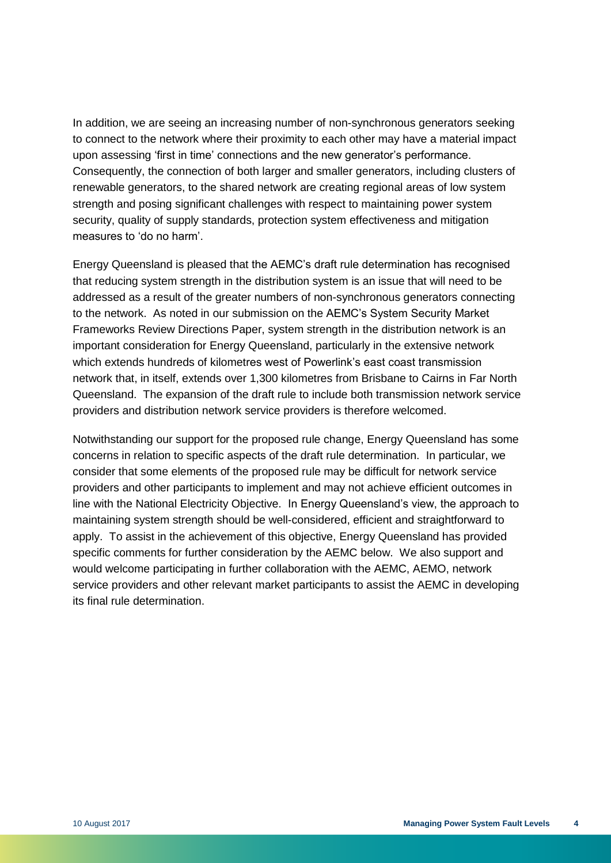In addition, we are seeing an increasing number of non-synchronous generators seeking to connect to the network where their proximity to each other may have a material impact upon assessing 'first in time' connections and the new generator's performance. Consequently, the connection of both larger and smaller generators, including clusters of renewable generators, to the shared network are creating regional areas of low system strength and posing significant challenges with respect to maintaining power system security, quality of supply standards, protection system effectiveness and mitigation measures to 'do no harm'.

Energy Queensland is pleased that the AEMC's draft rule determination has recognised that reducing system strength in the distribution system is an issue that will need to be addressed as a result of the greater numbers of non-synchronous generators connecting to the network. As noted in our submission on the AEMC's System Security Market Frameworks Review Directions Paper, system strength in the distribution network is an important consideration for Energy Queensland, particularly in the extensive network which extends hundreds of kilometres west of Powerlink's east coast transmission network that, in itself, extends over 1,300 kilometres from Brisbane to Cairns in Far North Queensland. The expansion of the draft rule to include both transmission network service providers and distribution network service providers is therefore welcomed.

Notwithstanding our support for the proposed rule change, Energy Queensland has some concerns in relation to specific aspects of the draft rule determination. In particular, we consider that some elements of the proposed rule may be difficult for network service providers and other participants to implement and may not achieve efficient outcomes in line with the National Electricity Objective. In Energy Queensland's view, the approach to maintaining system strength should be well-considered, efficient and straightforward to apply. To assist in the achievement of this objective, Energy Queensland has provided specific comments for further consideration by the AEMC below. We also support and would welcome participating in further collaboration with the AEMC, AEMO, network service providers and other relevant market participants to assist the AEMC in developing its final rule determination.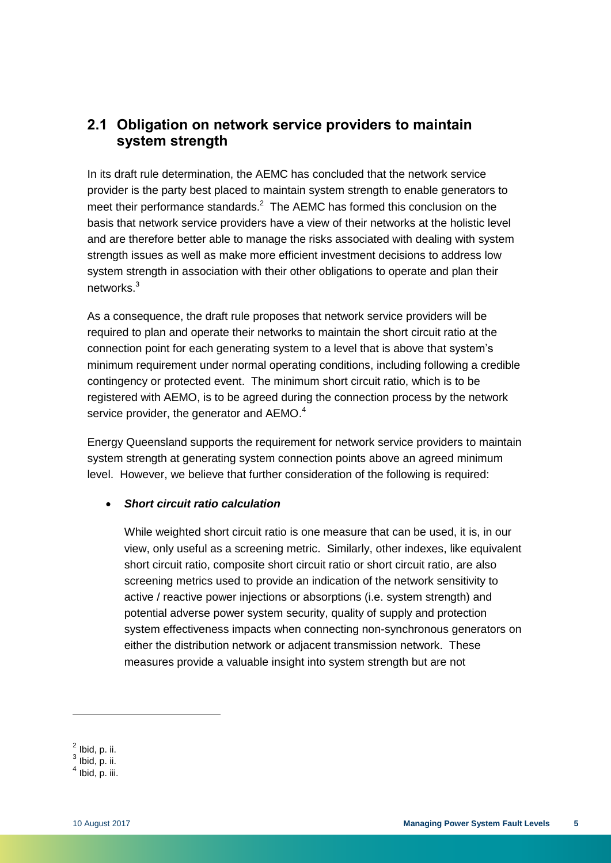### <span id="page-8-0"></span>**2.1 Obligation on network service providers to maintain system strength**

In its draft rule determination, the AEMC has concluded that the network service provider is the party best placed to maintain system strength to enable generators to meet their performance standards.<sup>2</sup> The AEMC has formed this conclusion on the basis that network service providers have a view of their networks at the holistic level and are therefore better able to manage the risks associated with dealing with system strength issues as well as make more efficient investment decisions to address low system strength in association with their other obligations to operate and plan their networks. 3

As a consequence, the draft rule proposes that network service providers will be required to plan and operate their networks to maintain the short circuit ratio at the connection point for each generating system to a level that is above that system's minimum requirement under normal operating conditions, including following a credible contingency or protected event. The minimum short circuit ratio, which is to be registered with AEMO, is to be agreed during the connection process by the network service provider, the generator and AEMO.<sup>4</sup>

Energy Queensland supports the requirement for network service providers to maintain system strength at generating system connection points above an agreed minimum level. However, we believe that further consideration of the following is required:

#### *Short circuit ratio calculation*

While weighted short circuit ratio is one measure that can be used, it is, in our view, only useful as a screening metric. Similarly, other indexes, like equivalent short circuit ratio, composite short circuit ratio or short circuit ratio, are also screening metrics used to provide an indication of the network sensitivity to active / reactive power injections or absorptions (i.e. system strength) and potential adverse power system security, quality of supply and protection system effectiveness impacts when connecting non-synchronous generators on either the distribution network or adjacent transmission network. These measures provide a valuable insight into system strength but are not

 $<sup>2</sup>$  Ibid, p. ii.</sup>

 $^3$  Ibid, p. ii.

 $<sup>4</sup>$  Ibid, p. iii.</sup>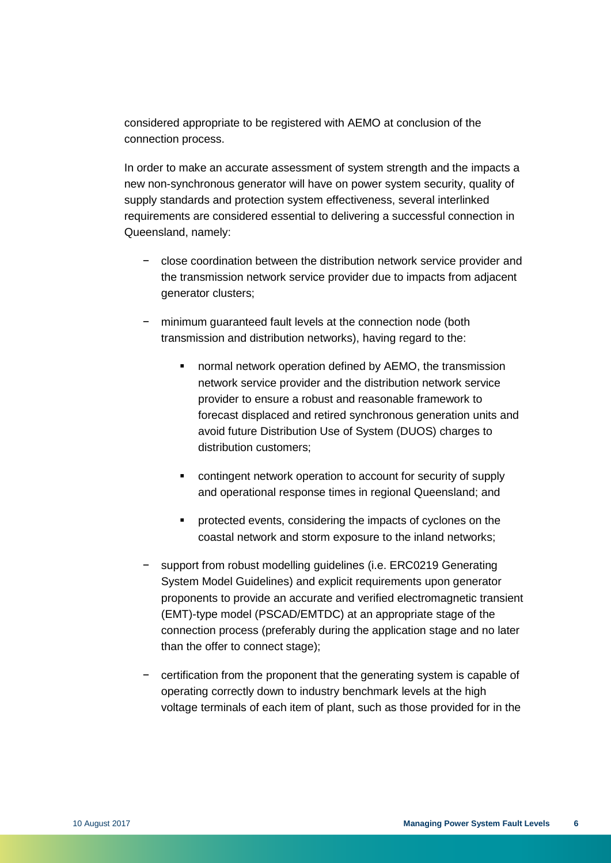considered appropriate to be registered with AEMO at conclusion of the connection process.

In order to make an accurate assessment of system strength and the impacts a new non-synchronous generator will have on power system security, quality of supply standards and protection system effectiveness, several interlinked requirements are considered essential to delivering a successful connection in Queensland, namely:

- − close coordination between the distribution network service provider and the transmission network service provider due to impacts from adjacent generator clusters;
- minimum quaranteed fault levels at the connection node (both transmission and distribution networks), having regard to the:
	- normal network operation defined by AEMO, the transmission network service provider and the distribution network service provider to ensure a robust and reasonable framework to forecast displaced and retired synchronous generation units and avoid future Distribution Use of System (DUOS) charges to distribution customers;
	- contingent network operation to account for security of supply and operational response times in regional Queensland; and
	- **•** protected events, considering the impacts of cyclones on the coastal network and storm exposure to the inland networks;
- − support from robust modelling guidelines (i.e. ERC0219 Generating System Model Guidelines) and explicit requirements upon generator proponents to provide an accurate and verified electromagnetic transient (EMT)-type model (PSCAD/EMTDC) at an appropriate stage of the connection process (preferably during the application stage and no later than the offer to connect stage);
- − certification from the proponent that the generating system is capable of operating correctly down to industry benchmark levels at the high voltage terminals of each item of plant, such as those provided for in the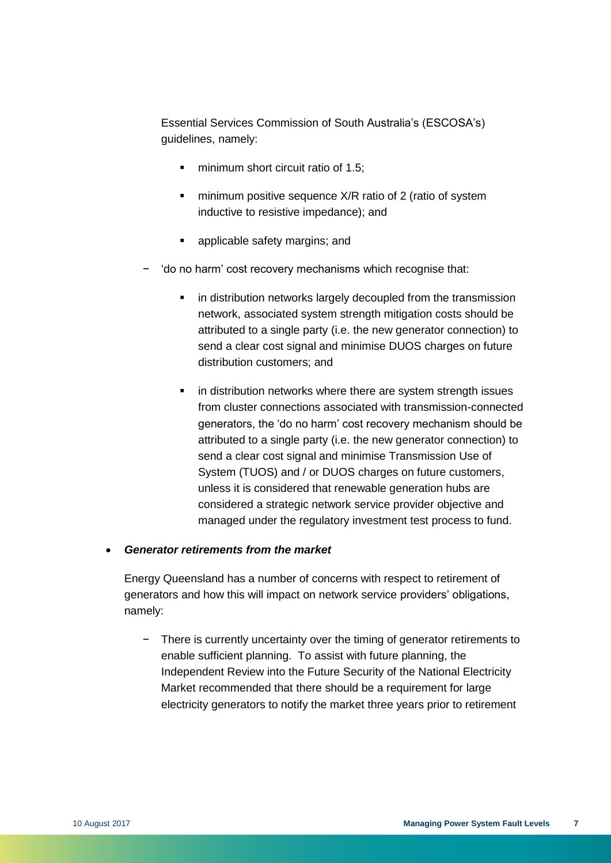Essential Services Commission of South Australia's (ESCOSA's) guidelines, namely:

- minimum short circuit ratio of 1.5;
- **numbia minimum positive sequence X/R ratio of 2 (ratio of system** inductive to resistive impedance); and
- **•** applicable safety margins; and
- − 'do no harm' cost recovery mechanisms which recognise that:
	- in distribution networks largely decoupled from the transmission network, associated system strength mitigation costs should be attributed to a single party (i.e. the new generator connection) to send a clear cost signal and minimise DUOS charges on future distribution customers; and
	- in distribution networks where there are system strength issues from cluster connections associated with transmission-connected generators, the 'do no harm' cost recovery mechanism should be attributed to a single party (i.e. the new generator connection) to send a clear cost signal and minimise Transmission Use of System (TUOS) and / or DUOS charges on future customers, unless it is considered that renewable generation hubs are considered a strategic network service provider objective and managed under the regulatory investment test process to fund.

#### *Generator retirements from the market*

Energy Queensland has a number of concerns with respect to retirement of generators and how this will impact on network service providers' obligations, namely:

− There is currently uncertainty over the timing of generator retirements to enable sufficient planning. To assist with future planning, the Independent Review into the Future Security of the National Electricity Market recommended that there should be a requirement for large electricity generators to notify the market three years prior to retirement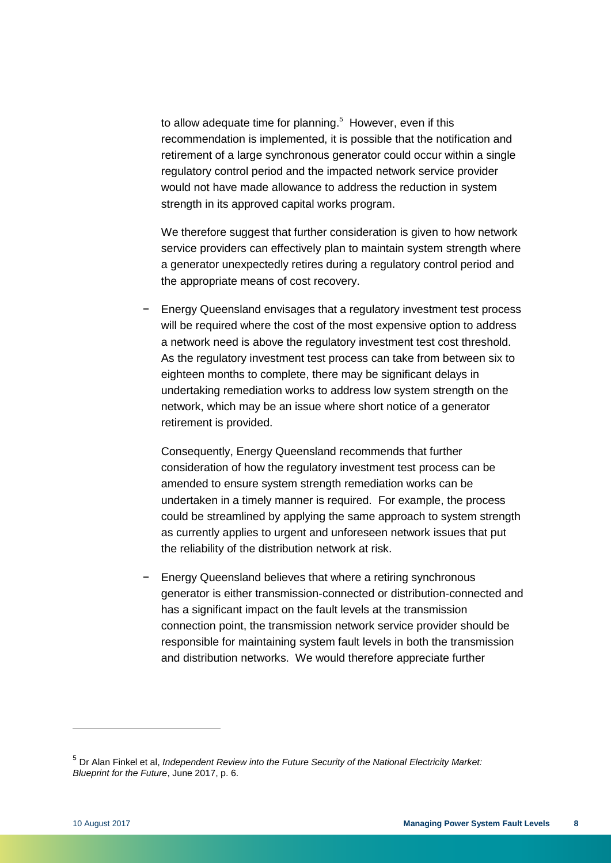to allow adequate time for planning.<sup>5</sup> However, even if this recommendation is implemented, it is possible that the notification and retirement of a large synchronous generator could occur within a single regulatory control period and the impacted network service provider would not have made allowance to address the reduction in system strength in its approved capital works program.

We therefore suggest that further consideration is given to how network service providers can effectively plan to maintain system strength where a generator unexpectedly retires during a regulatory control period and the appropriate means of cost recovery.

− Energy Queensland envisages that a regulatory investment test process will be required where the cost of the most expensive option to address a network need is above the regulatory investment test cost threshold. As the regulatory investment test process can take from between six to eighteen months to complete, there may be significant delays in undertaking remediation works to address low system strength on the network, which may be an issue where short notice of a generator retirement is provided.

Consequently, Energy Queensland recommends that further consideration of how the regulatory investment test process can be amended to ensure system strength remediation works can be undertaken in a timely manner is required. For example, the process could be streamlined by applying the same approach to system strength as currently applies to urgent and unforeseen network issues that put the reliability of the distribution network at risk.

− Energy Queensland believes that where a retiring synchronous generator is either transmission-connected or distribution-connected and has a significant impact on the fault levels at the transmission connection point, the transmission network service provider should be responsible for maintaining system fault levels in both the transmission and distribution networks. We would therefore appreciate further

<sup>5</sup> Dr Alan Finkel et al, *Independent Review into the Future Security of the National Electricity Market: Blueprint for the Future*, June 2017, p. 6.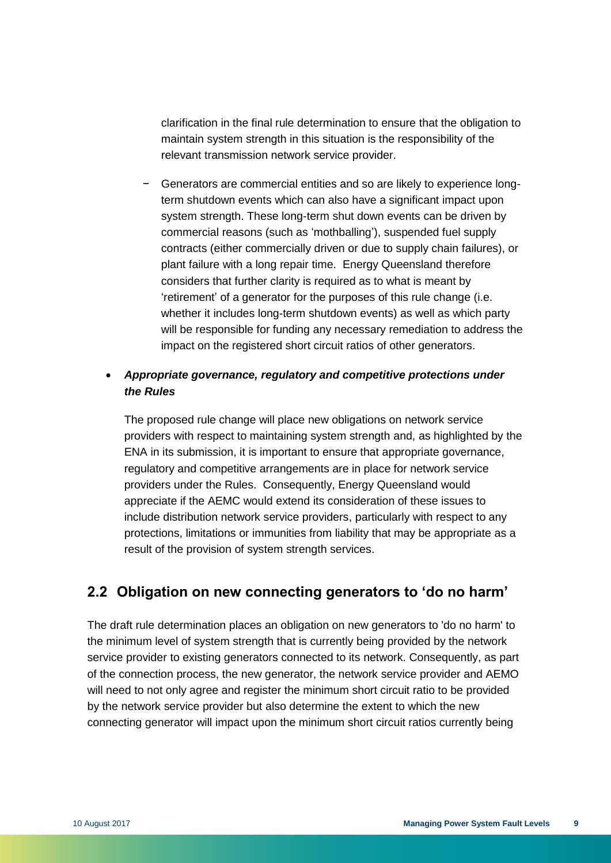clarification in the final rule determination to ensure that the obligation to maintain system strength in this situation is the responsibility of the relevant transmission network service provider.

− Generators are commercial entities and so are likely to experience longterm shutdown events which can also have a significant impact upon system strength. These long-term shut down events can be driven by commercial reasons (such as 'mothballing'), suspended fuel supply contracts (either commercially driven or due to supply chain failures), or plant failure with a long repair time. Energy Queensland therefore considers that further clarity is required as to what is meant by 'retirement' of a generator for the purposes of this rule change (i.e. whether it includes long-term shutdown events) as well as which party will be responsible for funding any necessary remediation to address the impact on the registered short circuit ratios of other generators.

#### *Appropriate governance, regulatory and competitive protections under the Rules*

The proposed rule change will place new obligations on network service providers with respect to maintaining system strength and, as highlighted by the ENA in its submission, it is important to ensure that appropriate governance, regulatory and competitive arrangements are in place for network service providers under the Rules. Consequently, Energy Queensland would appreciate if the AEMC would extend its consideration of these issues to include distribution network service providers, particularly with respect to any protections, limitations or immunities from liability that may be appropriate as a result of the provision of system strength services.

### <span id="page-12-0"></span>**2.2 Obligation on new connecting generators to 'do no harm'**

The draft rule determination places an obligation on new generators to 'do no harm' to the minimum level of system strength that is currently being provided by the network service provider to existing generators connected to its network. Consequently, as part of the connection process, the new generator, the network service provider and AEMO will need to not only agree and register the minimum short circuit ratio to be provided by the network service provider but also determine the extent to which the new connecting generator will impact upon the minimum short circuit ratios currently being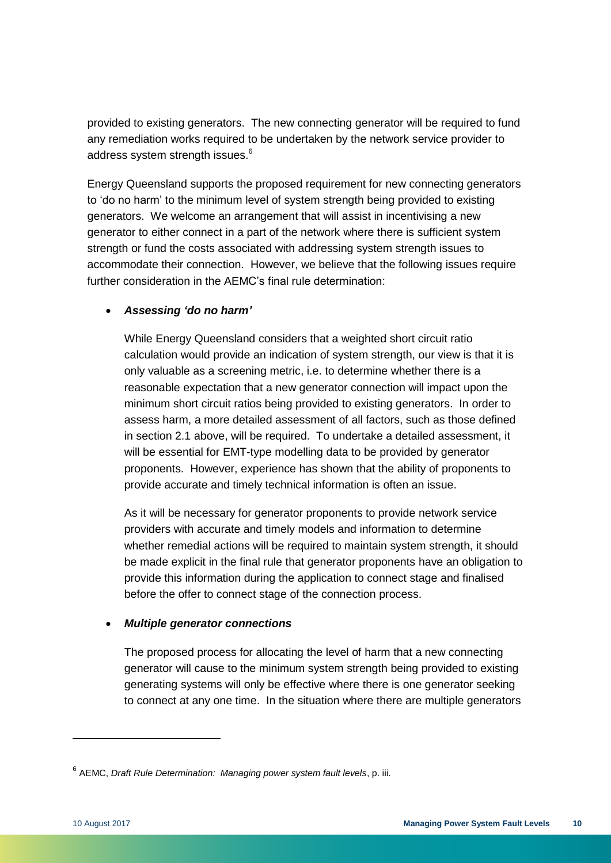provided to existing generators. The new connecting generator will be required to fund any remediation works required to be undertaken by the network service provider to address system strength issues.<sup>6</sup>

Energy Queensland supports the proposed requirement for new connecting generators to 'do no harm' to the minimum level of system strength being provided to existing generators. We welcome an arrangement that will assist in incentivising a new generator to either connect in a part of the network where there is sufficient system strength or fund the costs associated with addressing system strength issues to accommodate their connection. However, we believe that the following issues require further consideration in the AEMC's final rule determination:

#### *Assessing 'do no harm'*

While Energy Queensland considers that a weighted short circuit ratio calculation would provide an indication of system strength, our view is that it is only valuable as a screening metric, i.e. to determine whether there is a reasonable expectation that a new generator connection will impact upon the minimum short circuit ratios being provided to existing generators. In order to assess harm, a more detailed assessment of all factors, such as those defined in section 2.1 above, will be required. To undertake a detailed assessment, it will be essential for EMT-type modelling data to be provided by generator proponents. However, experience has shown that the ability of proponents to provide accurate and timely technical information is often an issue.

As it will be necessary for generator proponents to provide network service providers with accurate and timely models and information to determine whether remedial actions will be required to maintain system strength, it should be made explicit in the final rule that generator proponents have an obligation to provide this information during the application to connect stage and finalised before the offer to connect stage of the connection process.

#### *Multiple generator connections*

The proposed process for allocating the level of harm that a new connecting generator will cause to the minimum system strength being provided to existing generating systems will only be effective where there is one generator seeking to connect at any one time. In the situation where there are multiple generators

<sup>6</sup> AEMC, *Draft Rule Determination: Managing power system fault levels*, p. iii.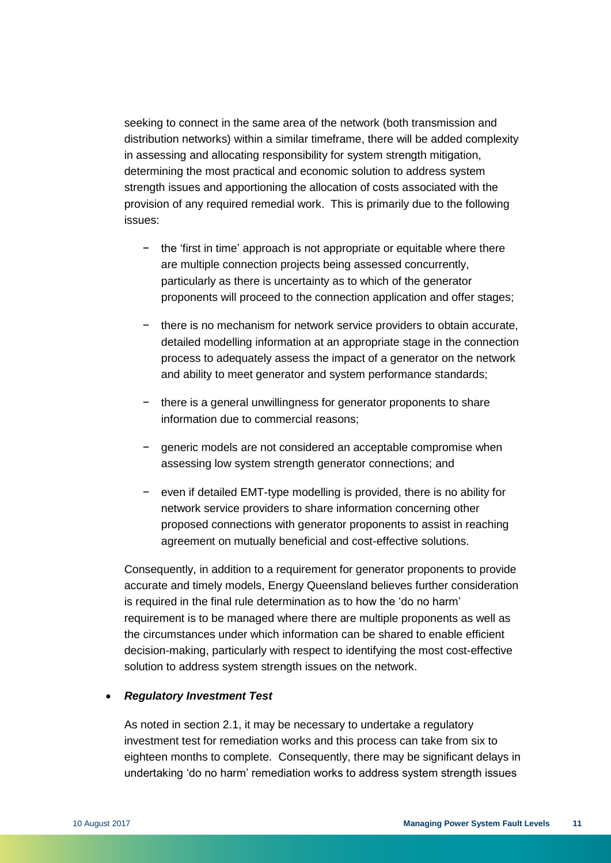seeking to connect in the same area of the network (both transmission and distribution networks) within a similar timeframe, there will be added complexity in assessing and allocating responsibility for system strength mitigation, determining the most practical and economic solution to address system strength issues and apportioning the allocation of costs associated with the provision of any required remedial work. This is primarily due to the following issues:

- − the 'first in time' approach is not appropriate or equitable where there are multiple connection projects being assessed concurrently, particularly as there is uncertainty as to which of the generator proponents will proceed to the connection application and offer stages;
- − there is no mechanism for network service providers to obtain accurate, detailed modelling information at an appropriate stage in the connection process to adequately assess the impact of a generator on the network and ability to meet generator and system performance standards;
- − there is a general unwillingness for generator proponents to share information due to commercial reasons;
- − generic models are not considered an acceptable compromise when assessing low system strength generator connections; and
- − even if detailed EMT-type modelling is provided, there is no ability for network service providers to share information concerning other proposed connections with generator proponents to assist in reaching agreement on mutually beneficial and cost-effective solutions.

Consequently, in addition to a requirement for generator proponents to provide accurate and timely models, Energy Queensland believes further consideration is required in the final rule determination as to how the 'do no harm' requirement is to be managed where there are multiple proponents as well as the circumstances under which information can be shared to enable efficient decision-making, particularly with respect to identifying the most cost-effective solution to address system strength issues on the network.

#### *Regulatory Investment Test*

As noted in section 2.1, it may be necessary to undertake a regulatory investment test for remediation works and this process can take from six to eighteen months to complete. Consequently, there may be significant delays in undertaking 'do no harm' remediation works to address system strength issues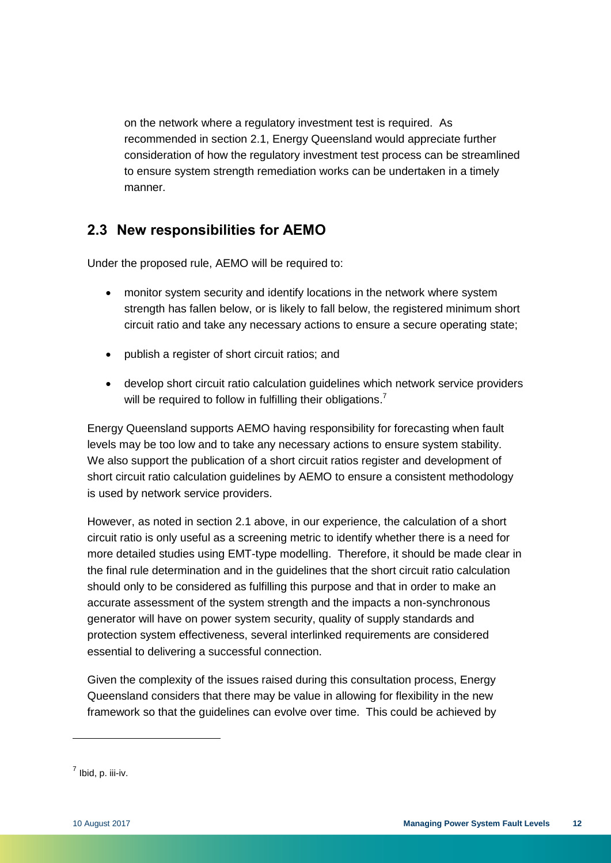on the network where a regulatory investment test is required. As recommended in section 2.1, Energy Queensland would appreciate further consideration of how the regulatory investment test process can be streamlined to ensure system strength remediation works can be undertaken in a timely manner.

### <span id="page-15-0"></span>**2.3 New responsibilities for AEMO**

Under the proposed rule, AEMO will be required to:

- monitor system security and identify locations in the network where system strength has fallen below, or is likely to fall below, the registered minimum short circuit ratio and take any necessary actions to ensure a secure operating state;
- publish a register of short circuit ratios; and
- develop short circuit ratio calculation guidelines which network service providers will be required to follow in fulfilling their obligations.<sup>7</sup>

Energy Queensland supports AEMO having responsibility for forecasting when fault levels may be too low and to take any necessary actions to ensure system stability. We also support the publication of a short circuit ratios register and development of short circuit ratio calculation guidelines by AEMO to ensure a consistent methodology is used by network service providers.

However, as noted in section 2.1 above, in our experience, the calculation of a short circuit ratio is only useful as a screening metric to identify whether there is a need for more detailed studies using EMT-type modelling. Therefore, it should be made clear in the final rule determination and in the guidelines that the short circuit ratio calculation should only to be considered as fulfilling this purpose and that in order to make an accurate assessment of the system strength and the impacts a non-synchronous generator will have on power system security, quality of supply standards and protection system effectiveness, several interlinked requirements are considered essential to delivering a successful connection.

Given the complexity of the issues raised during this consultation process, Energy Queensland considers that there may be value in allowing for flexibility in the new framework so that the guidelines can evolve over time. This could be achieved by

 $^7$  Ibid, p. iii-iv.